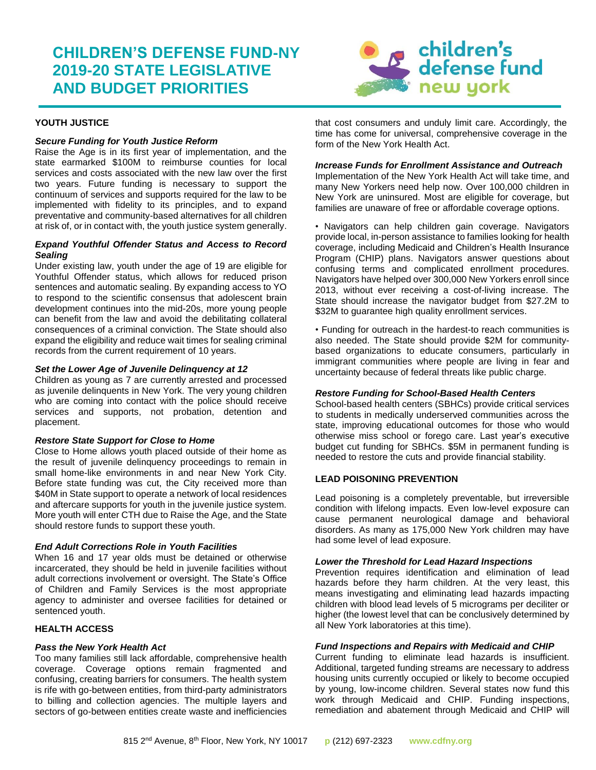# **CHILDREN'S DEFENSE FUND-NY 2019-20 STATE LEGISLATIVE AND BUDGET PRIORITIES**



# **YOUTH JUSTICE**

## *Secure Funding for Youth Justice Reform*

Raise the Age is in its first year of implementation, and the state earmarked \$100M to reimburse counties for local services and costs associated with the new law over the first two years. Future funding is necessary to support the continuum of services and supports required for the law to be implemented with fidelity to its principles, and to expand preventative and community-based alternatives for all children at risk of, or in contact with, the youth justice system generally.

## *Expand Youthful Offender Status and Access to Record Sealing*

Under existing law, youth under the age of 19 are eligible for Youthful Offender status, which allows for reduced prison sentences and automatic sealing. By expanding access to YO to respond to the scientific consensus that adolescent brain development continues into the mid-20s, more young people can benefit from the law and avoid the debilitating collateral consequences of a criminal conviction. The State should also expand the eligibility and reduce wait times for sealing criminal records from the current requirement of 10 years.

## *Set the Lower Age of Juvenile Delinquency at 12*

Children as young as 7 are currently arrested and processed as juvenile delinquents in New York. The very young children who are coming into contact with the police should receive services and supports, not probation, detention and placement.

## *Restore State Support for Close to Home*

Close to Home allows youth placed outside of their home as the result of juvenile delinquency proceedings to remain in small home-like environments in and near New York City. Before state funding was cut, the City received more than \$40M in State support to operate a network of local residences and aftercare supports for youth in the juvenile justice system. More youth will enter CTH due to Raise the Age, and the State should restore funds to support these youth.

## *End Adult Corrections Role in Youth Facilities*

When 16 and 17 year olds must be detained or otherwise incarcerated, they should be held in juvenile facilities without adult corrections involvement or oversight. The State's Office of Children and Family Services is the most appropriate agency to administer and oversee facilities for detained or sentenced youth.

## **HEALTH ACCESS**

## *Pass the New York Health Act*

Too many families still lack affordable, comprehensive health coverage. Coverage options remain fragmented and confusing, creating barriers for consumers. The health system is rife with go-between entities, from third-party administrators to billing and collection agencies. The multiple layers and sectors of go-between entities create waste and inefficiencies

that cost consumers and unduly limit care. Accordingly, the time has come for universal, comprehensive coverage in the form of the New York Health Act.

## *Increase Funds for Enrollment Assistance and Outreach*

Implementation of the New York Health Act will take time, and many New Yorkers need help now. Over 100,000 children in New York are uninsured. Most are eligible for coverage, but families are unaware of free or affordable coverage options.

• Navigators can help children gain coverage. Navigators provide local, in-person assistance to families looking for health coverage, including Medicaid and Children's Health Insurance Program (CHIP) plans. Navigators answer questions about confusing terms and complicated enrollment procedures. Navigators have helped over 300,000 New Yorkers enroll since 2013, without ever receiving a cost-of-living increase. The State should increase the navigator budget from \$27.2M to \$32M to quarantee high quality enrollment services.

• Funding for outreach in the hardest-to reach communities is also needed. The State should provide \$2M for communitybased organizations to educate consumers, particularly in immigrant communities where people are living in fear and uncertainty because of federal threats like public charge.

## *Restore Funding for School-Based Health Centers*

School-based health centers (SBHCs) provide critical services to students in medically underserved communities across the state, improving educational outcomes for those who would otherwise miss school or forego care. Last year's executive budget cut funding for SBHCs. \$5M in permanent funding is needed to restore the cuts and provide financial stability.

## **LEAD POISONING PREVENTION**

Lead poisoning is a completely preventable, but irreversible condition with lifelong impacts. Even low-level exposure can cause permanent neurological damage and behavioral disorders. As many as 175,000 New York children may have had some level of lead exposure.

## *Lower the Threshold for Lead Hazard Inspections*

Prevention requires identification and elimination of lead hazards before they harm children. At the very least, this means investigating and eliminating lead hazards impacting children with blood lead levels of 5 micrograms per deciliter or higher (the lowest level that can be conclusively determined by all New York laboratories at this time).

#### *Fund Inspections and Repairs with Medicaid and CHIP*

Current funding to eliminate lead hazards is insufficient. Additional, targeted funding streams are necessary to address housing units currently occupied or likely to become occupied by young, low-income children. Several states now fund this work through Medicaid and CHIP. Funding inspections, remediation and abatement through Medicaid and CHIP will